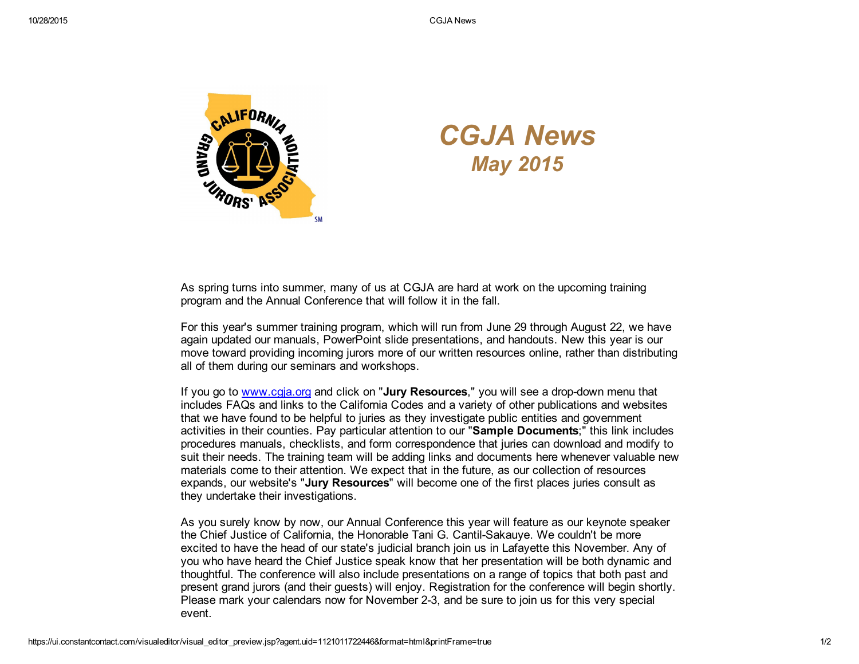

## *CGJA News May 2015*

As spring turns into summer, many of us at CGJA are hard at work on the upcoming training program and the Annual Conference that will follow it in the fall.

For this year's summer training program, which will run from June 29 through August 22, we have again updated our manuals, PowerPoint slide presentations, and handouts. New this year is our move toward providing incoming jurors more of our written resources online, rather than distributing all of them during our seminars and workshops.

If you go to www.cgia.org and click on "Jury Resources," you will see a drop-down menu that includes FAQs and links to the California Codes and a variety of other publications and websites that we have found to be helpful to juries as they investigate public entities and government activities in their counties. Pay particular attention to our "Sample Documents;" this link includes procedures manuals, checklists, and form correspondence that juries can download and modify to suit their needs. The training team will be adding links and documents here whenever valuable new materials come to their attention. We expect that in the future, as our collection of resources expands, our website's "Jury Resources" will become one of the first places juries consult as they undertake their investigations.

As you surely know by now, our Annual Conference this year will feature as our keynote speaker the Chief Justice of California, the Honorable Tani G. Cantil-Sakauye. We couldn't be more excited to have the head of our state's judicial branch join us in Lafayette this November. Any of you who have heard the Chief Justice speak know that her presentation will be both dynamic and thoughtful. The conference will also include presentations on a range of topics that both past and present grand jurors (and their guests) will enjoy. Registration for the conference will begin shortly. Please mark your calendars now for November 23, and be sure to join us for this very special event.